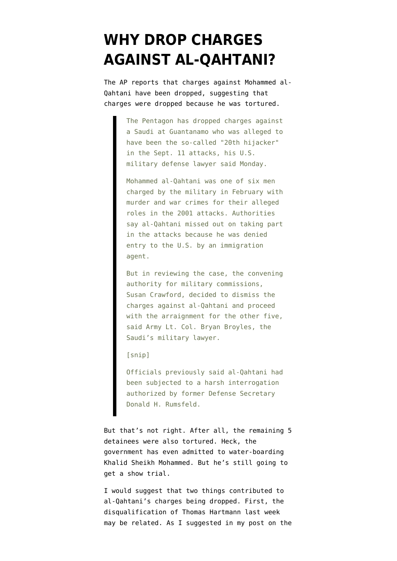## **[WHY DROP CHARGES](https://www.emptywheel.net/2008/05/13/why-drop-charges-against-al-qahtani/) [AGAINST AL-QAHTANI?](https://www.emptywheel.net/2008/05/13/why-drop-charges-against-al-qahtani/)**

The AP [reports](http://www.msnbc.msn.com/id/24587062) that charges against Mohammed al-Qahtani have been dropped, suggesting that charges were dropped because he was tortured.

> The Pentagon has dropped charges against a Saudi at Guantanamo who was alleged to have been the so-called "20th hijacker" in the Sept. 11 attacks, his U.S. military defense lawyer said Monday.

> Mohammed al-Qahtani was one of six men charged by the military in February with murder and war crimes for their alleged roles in the 2001 attacks. Authorities say al-Qahtani missed out on taking part in the attacks because he was denied entry to the U.S. by an immigration agent.

> But in reviewing the case, the convening authority for military commissions, Susan Crawford, decided to dismiss the charges against al-Qahtani and proceed with the arraignment for the other five, said Army Lt. Col. Bryan Broyles, the Saudi's military lawyer.

[snip]

Officials previously said al-Qahtani had been subjected to a harsh interrogation authorized by former Defense Secretary Donald H. Rumsfeld.

But that's not right. After all, the remaining 5 detainees were also tortured. Heck, the government has even admitted to water-boarding Khalid Sheikh Mohammed. But he's still going to get a show trial.

I would suggest that two things contributed to al-Qahtani's charges being dropped. First, the disqualification of Thomas Hartmann last week may be related. As I [suggested](http://emptywheel.firedoglake.com/2008/05/11/politicizing-show-trials-at-the-same-time-as-politicizing-doj/) in my post on the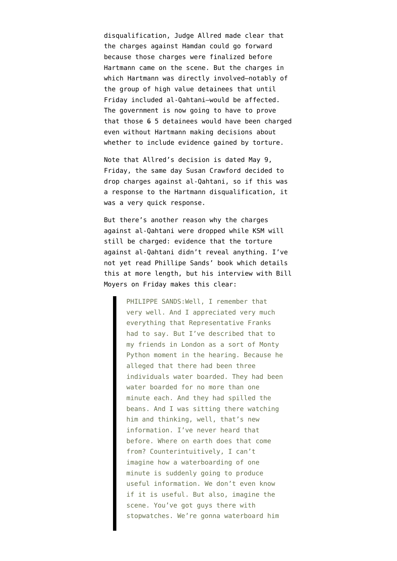disqualification, Judge Allred made clear that the charges against Hamdan could go forward because those charges were finalized before Hartmann came on the scene. But the charges in which Hartmann was directly involved–notably of the group of high value detainees that until Friday included al-Qahtani–would be affected. The government is now going to have to prove that those 6 5 detainees would have been charged even without Hartmann making decisions about whether to include evidence gained by torture.

Note that Allred's decision is dated May 9, Friday, the same day Susan Crawford decided to drop charges against al-Qahtani, so if this was a response to the Hartmann disqualification, it was a very quick response.

But there's another reason why the charges against al-Qahtani were dropped while KSM will still be charged: evidence that the torture against al-Qahtani didn't reveal anything. I've not yet read Phillipe Sands' book which details this at more length, but his interview with Bill Moyers on Friday [makes this clear:](http://www.pbs.org/moyers/journal/05092008/transcript2.html)

> PHILIPPE SANDS:Well, I remember that very well. And I appreciated very much everything that Representative Franks had to say. But I've described that to my friends in London as a sort of Monty Python moment in the hearing. Because he alleged that there had been three individuals water boarded. They had been water boarded for no more than one minute each. And they had spilled the beans. And I was sitting there watching him and thinking, well, that's new information. I've never heard that before. Where on earth does that come from? Counterintuitively, I can't imagine how a waterboarding of one minute is suddenly going to produce useful information. We don't even know if it is useful. But also, imagine the scene. You've got guys there with stopwatches. We're gonna waterboard him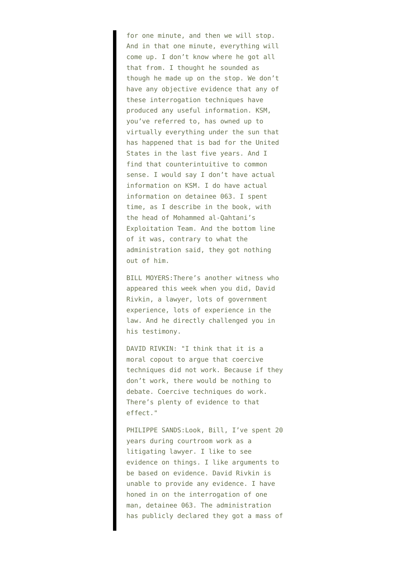for one minute, and then we will stop. And in that one minute, everything will come up. I don't know where he got all that from. I thought he sounded as though he made up on the stop. We don't have any objective evidence that any of these interrogation techniques have produced any useful information. KSM, you've referred to, has owned up to virtually everything under the sun that has happened that is bad for the United States in the last five years. And I find that counterintuitive to common sense. I would say I don't have actual information on KSM. I do have actual information on detainee 063. I spent time, as I describe in the book, with the head of Mohammed al-Qahtani's Exploitation Team. And the bottom line of it was, contrary to what the administration said, they got nothing out of him.

BILL MOYERS:There's another witness who appeared this week when you did, David Rivkin, a lawyer, lots of government experience, lots of experience in the law. And he directly challenged you in his testimony.

DAVID RIVKIN: "I think that it is a moral copout to argue that coercive techniques did not work. Because if they don't work, there would be nothing to debate. Coercive techniques do work. There's plenty of evidence to that effect."

PHILIPPE SANDS:Look, Bill, I've spent 20 years during courtroom work as a litigating lawyer. I like to see evidence on things. I like arguments to be based on evidence. David Rivkin is unable to provide any evidence. I have honed in on the interrogation of one man, detainee 063. The administration has publicly declared they got a mass of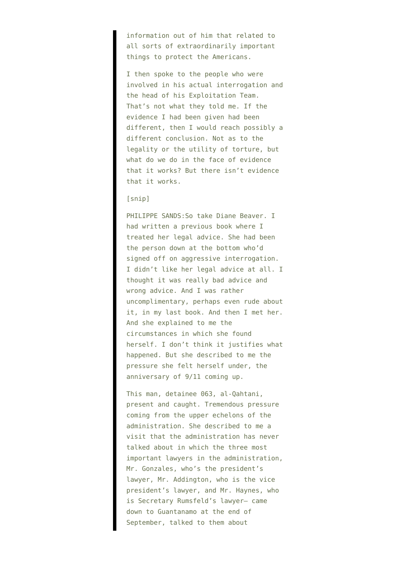information out of him that related to all sorts of extraordinarily important things to protect the Americans.

I then spoke to the people who were involved in his actual interrogation and the head of his Exploitation Team. That's not what they told me. If the evidence I had been given had been different, then I would reach possibly a different conclusion. Not as to the legality or the utility of torture, but what do we do in the face of evidence that it works? But there isn't evidence that it works.

## [snip]

PHILIPPE SANDS:So take Diane Beaver. I had written a previous book where I treated her legal advice. She had been the person down at the bottom who'd signed off on aggressive interrogation. I didn't like her legal advice at all. I thought it was really bad advice and wrong advice. And I was rather uncomplimentary, perhaps even rude about it, in my last book. And then I met her. And she explained to me the circumstances in which she found herself. I don't think it justifies what happened. But she described to me the pressure she felt herself under, the anniversary of 9/11 coming up.

This man, detainee 063, al-Qahtani, present and caught. Tremendous pressure coming from the upper echelons of the administration. She described to me a visit that the administration has never talked about in which the three most important lawyers in the administration, Mr. Gonzales, who's the president's lawyer, Mr. Addington, who is the vice president's lawyer, and Mr. Haynes, who is Secretary Rumsfeld's lawyer– came down to Guantanamo at the end of September, talked to them about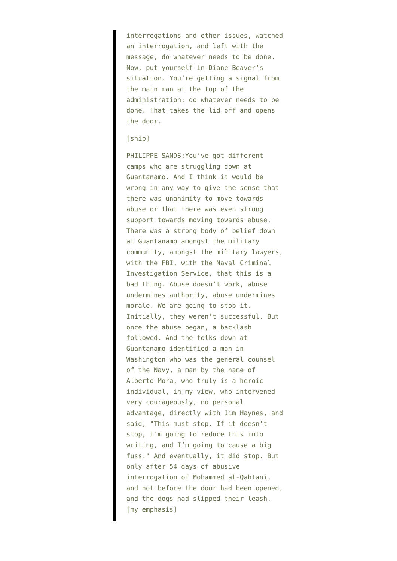interrogations and other issues, watched an interrogation, and left with the message, do whatever needs to be done. Now, put yourself in Diane Beaver's situation. You're getting a signal from the main man at the top of the administration: do whatever needs to be done. That takes the lid off and opens the door.

## [snip]

PHILIPPE SANDS:You've got different camps who are struggling down at Guantanamo. And I think it would be wrong in any way to give the sense that there was unanimity to move towards abuse or that there was even strong support towards moving towards abuse. There was a strong body of belief down at Guantanamo amongst the military community, amongst the military lawyers, with the FBI, with the Naval Criminal Investigation Service, that this is a bad thing. Abuse doesn't work, abuse undermines authority, abuse undermines morale. We are going to stop it. Initially, they weren't successful. But once the abuse began, a backlash followed. And the folks down at Guantanamo identified a man in Washington who was the general counsel of the Navy, a man by the name of Alberto Mora, who truly is a heroic individual, in my view, who intervened very courageously, no personal advantage, directly with Jim Haynes, and said, "This must stop. If it doesn't stop, I'm going to reduce this into writing, and I'm going to cause a big fuss." And eventually, it did stop. But only after 54 days of abusive interrogation of Mohammed al-Qahtani, and not before the door had been opened, and the dogs had slipped their leash. [my emphasis]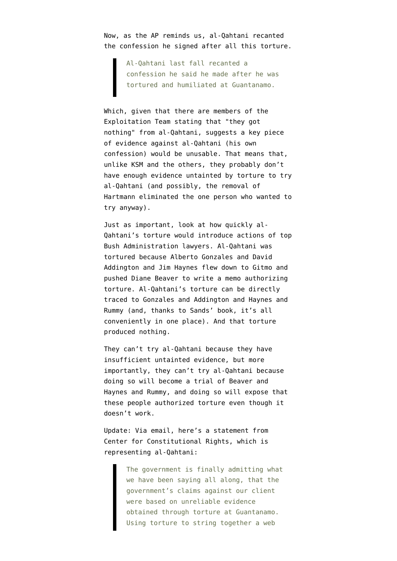Now, as the AP reminds us, al-Qahtani recanted the confession he signed after all this torture.

> Al-Qahtani last fall recanted a confession he said he made after he was tortured and humiliated at Guantanamo.

Which, given that there are members of the Exploitation Team stating that "they got nothing" from al-Qahtani, suggests a key piece of evidence against al-Qahtani (his own confession) would be unusable. That means that, unlike KSM and the others, they probably don't have enough evidence untainted by torture to try al-Qahtani (and possibly, the removal of Hartmann eliminated the one person who wanted to try anyway).

Just as important, look at how quickly al-Qahtani's torture would introduce actions of top Bush Administration lawyers. Al-Qahtani was tortured because Alberto Gonzales and David Addington and Jim Haynes flew down to Gitmo and pushed Diane Beaver to write a memo authorizing torture. Al-Qahtani's torture can be directly traced to Gonzales and Addington and Haynes and Rummy (and, thanks to Sands' book, it's all conveniently in one place). And that torture produced nothing.

They can't try al-Qahtani because they have insufficient untainted evidence, but more importantly, they can't try al-Qahtani because doing so will become a trial of Beaver and Haynes and Rummy, and doing so will expose that these people authorized torture even though it doesn't work.

Update: Via email, here's a statement from Center for Constitutional Rights, which is representing al-Qahtani:

> The government is finally admitting what we have been saying all along, that the government's claims against our client were based on unreliable evidence obtained through torture at Guantanamo. Using torture to string together a web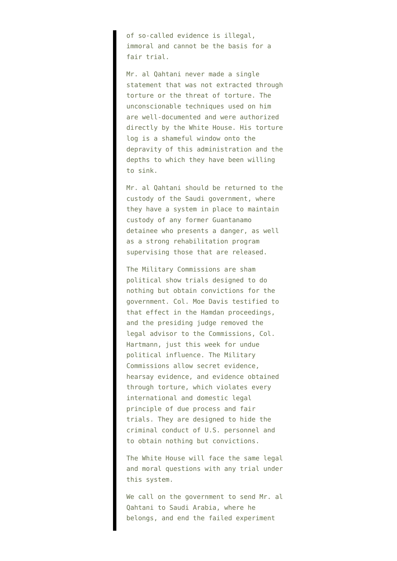of so-called evidence is illegal, immoral and cannot be the basis for a fair trial.

Mr. al Qahtani never made a single statement that was not extracted through torture or the threat of torture. The unconscionable techniques used on him are well-documented and were authorized directly by the White House. His torture log is a shameful window onto the depravity of this administration and the depths to which they have been willing to sink.

Mr. al Qahtani should be returned to the custody of the Saudi government, where they have a system in place to maintain custody of any former Guantanamo detainee who presents a danger, as well as a strong rehabilitation program supervising those that are released.

The Military Commissions are sham political show trials designed to do nothing but obtain convictions for the government. Col. Moe Davis testified to that effect in the Hamdan proceedings, and the presiding judge removed the legal advisor to the Commissions, Col. Hartmann, just this week for undue political influence. The Military Commissions allow secret evidence, hearsay evidence, and evidence obtained through torture, which violates every international and domestic legal principle of due process and fair trials. They are designed to hide the criminal conduct of U.S. personnel and to obtain nothing but convictions.

The White House will face the same legal and moral questions with any trial under this system.

We call on the government to send Mr. al Qahtani to Saudi Arabia, where he belongs, and end the failed experiment